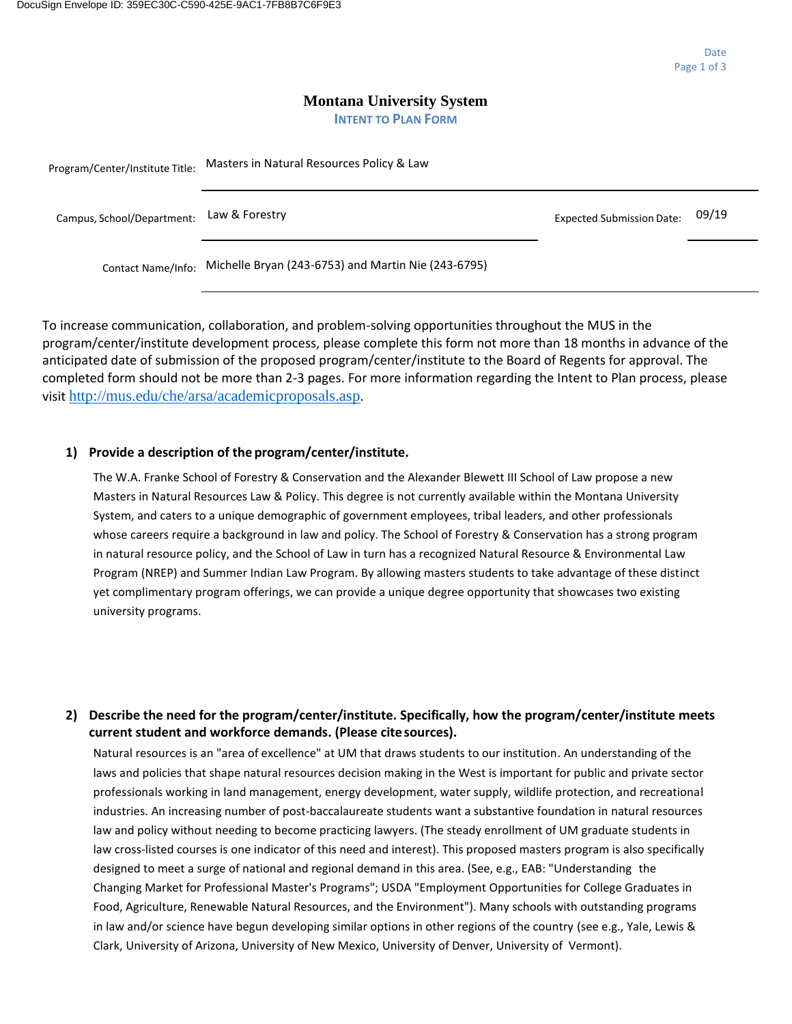#### **Montana University System INTENT TO PLAN FORM**

| Program/Center/Institute Title: | Masters in Natural Resources Policy & Law           |                                  |       |  |
|---------------------------------|-----------------------------------------------------|----------------------------------|-------|--|
| Campus, School/Department:      | Law & Forestry                                      | <b>Expected Submission Date:</b> | 09/19 |  |
| Contact Name/Info:              | Michelle Bryan (243-6753) and Martin Nie (243-6795) |                                  |       |  |

 anticipated date of submission of the proposed program/center/institute to the Board of Regents for approval. The To increase communication, collaboration, and problem-solving opportunities throughout the MUS in the program/center/institute development process, please complete this form not more than 18 months in advance of the completed form should not be more than 2-3 pages. For more information regarding the Intent to Plan process, please visit <http://mus.edu/che/arsa/academicproposals.asp>.

### **1) Provide a description of the program/center/institute.**

The W.A. Franke School of Forestry & Conservation and the Alexander Blewett III School of Law propose a new Masters in Natural Resources Law & Policy. This degree is not currently available within the Montana University System, and caters to a unique demographic of government employees, tribal leaders, and other professionals whose careers require a background in law and policy. The School of Forestry & Conservation has a strong program in natural resource policy, and the School of Law in turn has a recognized Natural Resource & Environmental Law Program (NREP) and Summer Indian Law Program. By allowing masters students to take advantage of these distinct yet complimentary program offerings, we can provide a unique degree opportunity that showcases two existing university programs.

## **2) Describe the need for the program/center/institute. Specifically, how the program/center/institute meets current student and workforce demands. (Please cite sources).**

 Clark, University of Arizona, University of New Mexico, University of Denver, University of Vermont). Natural resources is an "area of excellence" at UM that draws students to our institution. An understanding of the laws and policies that shape natural resources decision making in the West is important for public and private sector professionals working in land management, energy development, water supply, wildlife protection, and recreational industries. An increasing number of post-baccalaureate students want a substantive foundation in natural resources law and policy without needing to become practicing lawyers. (The steady enrollment of UM graduate students in law cross-listed courses is one indicator of this need and interest). This proposed masters program is also specifically designed to meet a surge of national and regional demand in this area. (See, e.g., EAB: "Understanding the Changing Market for Professional Master's Programs"; USDA "Employment Opportunities for College Graduates in Food, Agriculture, Renewable Natural Resources, and the Environment"). Many schools with outstanding programs in law and/or science have begun developing similar options in other regions of the country (see e.g., Yale, Lewis &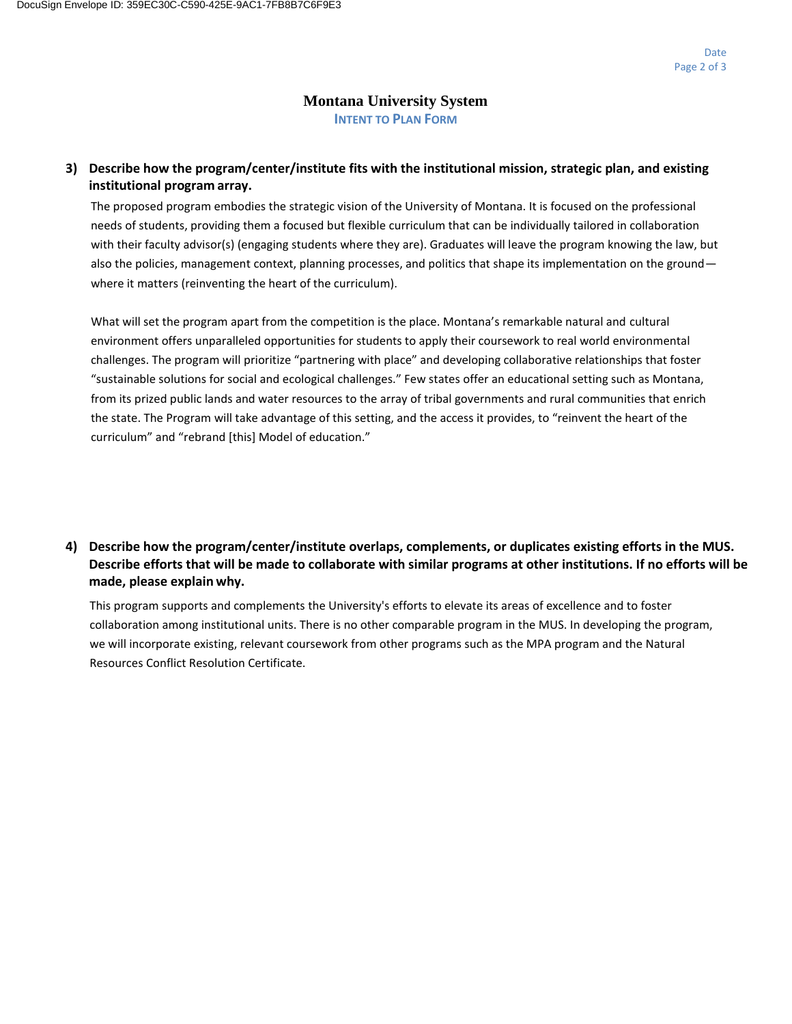#### **Montana University System INTENT TO PLAN FORM**

## **3) Describe how the program/center/institute fits with the institutional mission, strategic plan, and existing institutional program array.**

The proposed program embodies the strategic vision of the University of Montana. It is focused on the professional needs of students, providing them a focused but flexible curriculum that can be individually tailored in collaboration with their faculty advisor(s) (engaging students where they are). Graduates will leave the program knowing the law, but also the policies, management context, planning processes, and politics that shape its implementation on the ground where it matters (reinventing the heart of the curriculum).

What will set the program apart from the competition is the place. Montana's remarkable natural and cultural environment offers unparalleled opportunities for students to apply their coursework to real world environmental challenges. The program will prioritize "partnering with place" and developing collaborative relationships that foster "sustainable solutions for social and ecological challenges." Few states offer an educational setting such as Montana, from its prized public lands and water resources to the array of tribal governments and rural communities that enrich the state. The Program will take advantage of this setting, and the access it provides, to "reinvent the heart of the curriculum" and "rebrand [this] Model of education."

## **4) Describe how the program/center/institute overlaps, complements, or duplicates existing efforts in the MUS. Describe efforts that will be made to collaborate with similar programs at other institutions. If no efforts will be made, please explain why.**

This program supports and complements the University's efforts to elevate its areas of excellence and to foster collaboration among institutional units. There is no other comparable program in the MUS. In developing the program, we will incorporate existing, relevant coursework from other programs such as the MPA program and the Natural Resources Conflict Resolution Certificate.